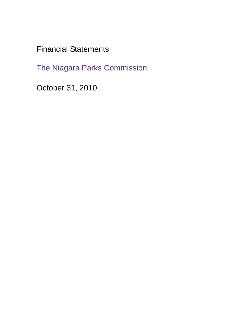Financial Statements

The Niagara Parks Commission

October 31, 2010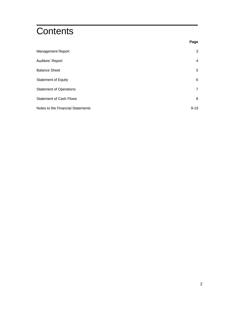# **Contents**

|                                   | Page           |
|-----------------------------------|----------------|
| Management Report                 | 3              |
| Auditors' Report                  | 4              |
| <b>Balance Sheet</b>              | 5              |
| <b>Statement of Equity</b>        | 6              |
| <b>Statement of Operations</b>    | $\overline{7}$ |
| <b>Statement of Cash Flows</b>    | 8              |
| Notes to the Financial Statements | $9 - 19$       |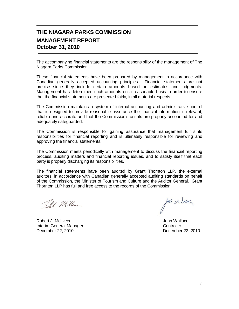### **THE NIAGARA PARKS COMMISSION MANAGEMENT REPORT October 31, 2010**

The accompanying financial statements are the responsibility of the management of The Niagara Parks Commission.

These financial statements have been prepared by management in accordance with Canadian generally accepted accounting principles. Financial statements are not precise since they include certain amounts based on estimates and judgments. Management has determined such amounts on a reasonable basis in order to ensure that the financial statements are presented fairly, in all material respects.

The Commission maintains a system of internal accounting and administrative control that is designed to provide reasonable assurance the financial information is relevant, reliable and accurate and that the Commission's assets are properly accounted for and adequately safeguarded.

The Commission is responsible for gaining assurance that management fulfills its responsibilities for financial reporting and is ultimately responsible for reviewing and approving the financial statements.

The Commission meets periodically with management to discuss the financial reporting process, auditing matters and financial reporting issues, and to satisfy itself that each party is properly discharging its responsibilities.

The financial statements have been audited by Grant Thornton LLP, the external auditors, in accordance with Canadian generally accepted auditing standards on behalf of the Commission, the Minister of Tourism and Culture and the Auditor General. Grant Thornton LLP has full and free access to the records of the Commission.

Telet Millen

Robert J. McIlveen **Value Community Community** Community Community Community Community Community Community Community **Interim General Manager Controller** Controller December 22, 2010 December 22, 2010

for Wea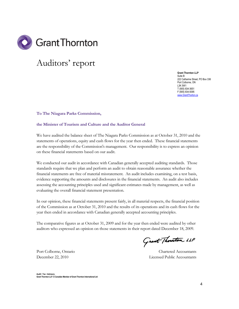

# Auditors' report

**Grant Thornton LLP** Suite B 222 Catharine Street, PO Box 336 Port Colborne, ON L3K 5W1 T (905) 834-3651 F (905) 834-5095 [www.GrantThorton.ca](http://www.grantthorton.ca/)

**To The Niagara Parks Commission,**

#### **the Minister of Tourism and Culture and the Auditor General**

We have audited the balance sheet of The Niagara Parks Commission as at October 31, 2010 and the statements of operations, equity and cash flows for the year then ended. These financial statements are the responsibility of the Commission's management. Our responsibility is to express an opinion on these financial statements based on our audit.

We conducted our audit in accordance with Canadian generally accepted auditing standards. Those standards require that we plan and perform an audit to obtain reasonable assurance whether the financial statements are free of material misstatement. An audit includes examining, on a test basis, evidence supporting the amounts and disclosures in the financial statements. An audit also includes assessing the accounting principles used and significant estimates made by management, as well as evaluating the overall financial statement presentation.

In our opinion, these financial statements present fairly, in all material respects, the financial position of the Commission as at October 31, 2010 and the results of its operations and its cash flows for the year then ended in accordance with Canadian generally accepted accounting principles.

The comparative figures as at October 31, 2009 and for the year then ended were audited by other auditors who expressed an opinion on those statements in their report dated December 18, 2009.

Grant Thouton LLP

December 22, 2010 Licensed Public Accountants

Port Colborne, Ontario Chartered Accountants

**Audit • Tax • Advisory Grant Thornton LLP. A Canadian Member of Grant Thornton International Ltd**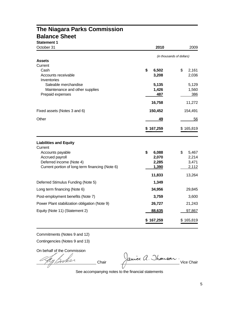### **The Niagara Parks Commission Balance Sheet**

| <b>Statement 1</b>                              |             |                           |
|-------------------------------------------------|-------------|---------------------------|
| October 31                                      | 2010        | 2009                      |
|                                                 |             | (in thousands of dollars) |
| Assets                                          |             |                           |
| Current                                         |             |                           |
| Cash                                            | \$<br>6,502 | \$<br>2,161               |
| Accounts receivable<br>Inventories              | 3,208       | 2,036                     |
| Saleable merchandise                            | 5,135       | 5,129                     |
| Maintenance and other supplies                  | 1,426       | 1,560                     |
| Prepaid expenses                                | 487         | 386                       |
|                                                 | 16,758      | 11,272                    |
| Fixed assets (Notes 3 and 6)                    | 150,452     | 154,491                   |
| Other                                           | 49          | 56                        |
|                                                 | \$167,259   | \$165,819                 |
| <b>Liabilities and Equity</b>                   |             |                           |
| Current                                         | \$<br>6,088 | 5,467<br>\$               |
| Accounts payable<br>Accrued payroll             | 2,070       | 2,214                     |
| Deferred income (Note 4)                        | 2,285       | 3,471                     |
| Current portion of long term financing (Note 6) | 1,390       | 2,112                     |
|                                                 | 11,833      | 13,264                    |
| Deferred Stimulus Funding (Note 5)              | 1,349       |                           |
| Long term financing (Note 6)                    | 34,956      | 29,845                    |
| Post-employment benefits (Note 7)               | 3,759       | 3,600                     |
| Power Plant stabilization obligation (Note 9)   | 26,727      | 21,243                    |
| Equity (Note 11) (Statement 2)                  | 88,635      | 97,867                    |
|                                                 | \$167,259   | \$165,819                 |

Commitments (Notes 9 and 12)

Contingencies (Notes 9 and 13)

On behalf of the Commission

ay Booker

Chair Jaure A. Thomson.

See accompanying notes to the financial statements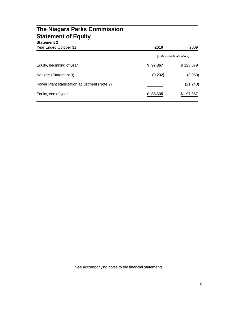| <b>The Niagara Parks Commission</b><br><b>Statement of Equity</b><br><b>Statement 2</b> |                           |           |
|-----------------------------------------------------------------------------------------|---------------------------|-----------|
| <b>Year Ended October 31</b>                                                            | 2010                      | 2009      |
|                                                                                         | (in thousands of dollars) |           |
| Equity, beginning of year                                                               | \$97,867                  | \$123,079 |
| Net loss (Statement 3)                                                                  | (9,232)                   | (3,969)   |
| Power Plant stabilization adjustment (Note 9)                                           |                           | (21, 243) |
| Equity, end of year                                                                     | 88,635<br>S.              | 97,867    |

See accompanying notes to the financial statements.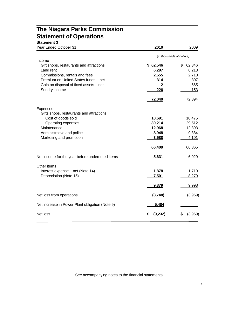# **The Niagara Parks Commission Statement of Operations**

### **Statement 3**

| <b>Year Ended October 31</b>                         | 2010              | 2009                      |
|------------------------------------------------------|-------------------|---------------------------|
|                                                      |                   | (in thousands of dollars) |
| Income                                               |                   |                           |
| Gift shops, restaurants and attractions<br>Land rent | \$62,546<br>6,297 | \$<br>62,346              |
| Commissions, rentals and fees                        | 2,655             | 6,213<br>2,710            |
| Premium on United States funds - net                 | 314               | 307                       |
| Gain on disposal of fixed assets - net               | $\mathbf{2}$      | 665                       |
| Sundry income                                        | 226               | 153                       |
|                                                      | 72,040            | 72,394                    |
| Expenses                                             |                   |                           |
| Gifts shops, restaurants and attractions             |                   |                           |
| Cost of goods sold                                   | 10,691            | 10,475                    |
| Operating expenses                                   | 30,214            | 29,512                    |
| Maintenance<br>Administrative and police             | 12,968<br>8,948   | 12,393<br>9,884           |
| Marketing and promotion                              | 3,588             | 4,101                     |
|                                                      |                   |                           |
|                                                      | 66,409            | 66,365                    |
| Net income for the year before undernoted items      | 5,631             | 6,029                     |
| Other items                                          |                   |                           |
| Interest expense – net (Note 14)                     | 1,878             | 1,719                     |
| Depreciation (Note 15)                               | 7,501             | 8,279                     |
|                                                      | 9,379             | 9,998                     |
| Net loss from operations                             | (3,748)           | (3,969)                   |
| Net increase in Power Plant obligation (Note 9)      | 5,484             |                           |
| Net loss                                             | (9, 232)          | (3,969)<br>\$             |
|                                                      |                   |                           |

See accompanying notes to the financial statements.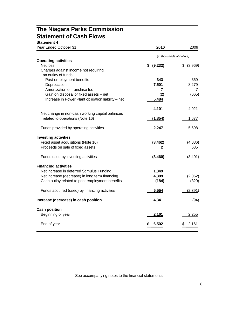### **The Niagara Parks Commission Statement of Cash Flows Statement 4**

| Year Ended October 31                                      | 2010                      | 2009        |
|------------------------------------------------------------|---------------------------|-------------|
|                                                            | (in thousands of dollars) |             |
| <b>Operating activities</b>                                |                           |             |
| Net loss                                                   | \$ (9,232)                | \$ (3,969)  |
| Charges against income not requiring<br>an outlay of funds |                           |             |
| Post-employment benefits                                   | 343                       | 369         |
| Depreciation                                               | 7,501                     | 8,279       |
| Amortization of franchise fee                              | 7                         | 7           |
| Gain on disposal of fixed assets - net                     | (2)                       | (665)       |
| Increase in Power Plant obligation liability - net         | 5,484                     |             |
|                                                            |                           |             |
|                                                            | 4,101                     | 4,021       |
| Net change in non-cash working capital balances            |                           |             |
| related to operations (Note 16)                            | (1, 854)                  | 1,677       |
| Funds provided by operating activities                     | 2,247                     | 5,698       |
| <b>Investing activities</b>                                |                           |             |
| Fixed asset acquisitions (Note 16)                         | (3, 462)                  | (4,086)     |
| Proceeds on sale of fixed assets                           | 2                         | 685         |
| Funds used by investing activities                         | (3,460)                   | (3,401)     |
| <b>Financing activities</b>                                |                           |             |
| Net increase in deferred Stimulus Funding                  | 1,349                     |             |
| Net increase (decrease) in long term financing             | 4,389                     | (2,062)     |
| Cash outlay related to post-employment benefits            | (184)                     | (329)       |
| Funds acquired (used) by financing activities              | 5,554                     | (2, 391)    |
| Increase (decrease) in cash position                       | 4,341                     | (94)        |
| <b>Cash position</b>                                       |                           |             |
| Beginning of year                                          | 2,161                     | 2,255       |
| End of year                                                | 6,502                     | 2,161<br>\$ |

See accompanying notes to the financial statements.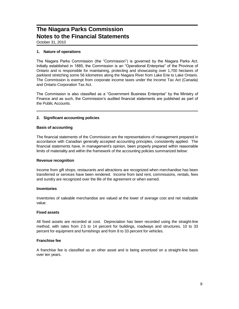October 31, 2010

#### **1. Nature of operations**

The Niagara Parks Commission (the "Commission") is governed by the Niagara Parks Act. Initially established in 1885, the Commission is an "Operational Enterprise" of the Province of Ontario and is responsible for maintaining, protecting and showcasing over 1,700 hectares of parkland stretching some 56 kilometres along the Niagara River from Lake Erie to Lake Ontario. The Commission is exempt from corporate income taxes under the Income Tax Act (Canada) and Ontario Corporation Tax Act.

The Commission is also classified as a "Government Business Enterprise" by the Ministry of Finance and as such, the Commission's audited financial statements are published as part of the Public Accounts.

#### **2. Significant accounting policies**

#### **Basis of accounting**

The financial statements of the Commission are the representations of management prepared in accordance with Canadian generally accepted accounting principles, consistently applied. The financial statements have, in management's opinion, been properly prepared within reasonable limits of materiality and within the framework of the accounting policies summarized below:

#### **Revenue recognition**

Income from gift shops, restaurants and attractions are recognized when merchandise has been transferred or services have been rendered. Income from land rent, commissions, rentals, fees and sundry are recognized over the life of the agreement or when earned.

#### **Inventories**

Inventories of saleable merchandise are valued at the lower of average cost and net realizable value.

#### **Fixed assets**

All fixed assets are recorded at cost. Depreciation has been recorded using the straight-line method, with rates from 2.5 to 14 percent for buildings, roadways and structures, 10 to 33 percent for equipment and furnishings and from 8 to 33 percent for vehicles.

#### **Franchise fee**

A franchise fee is classified as an other asset and is being amortized on a straight-line basis over ten years.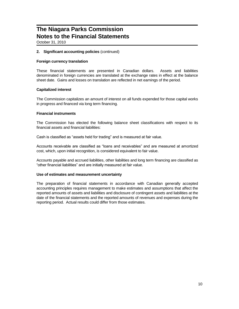October 31, 2010

#### **2. Significant accounting policies** (continued)

#### **Foreign currency translation**

These financial statements are presented in Canadian dollars. Assets and liabilities denominated in foreign currencies are translated at the exchange rates in effect at the balance sheet date. Gains and losses on translation are reflected in net earnings of the period.

#### **Capitalized interest**

The Commission capitalizes an amount of interest on all funds expended for those capital works in progress and financed via long term financing.

#### **Financial instruments**

The Commission has elected the following balance sheet classifications with respect to its financial assets and financial liabilities:

Cash is classified as "assets held for trading" and is measured at fair value.

Accounts receivable are classified as "loans and receivables" and are measured at amortized cost, which, upon initial recognition, is considered equivalent to fair value.

Accounts payable and accrued liabilities, other liabilities and long term financing are classified as "other financial liabilities" and are initially measured at fair value.

#### **Use of estimates and measurement uncertainty**

The preparation of financial statements in accordance with Canadian generally accepted accounting principles requires management to make estimates and assumptions that affect the reported amounts of assets and liabilities and disclosure of contingent assets and liabilities at the date of the financial statements and the reported amounts of revenues and expenses during the reporting period. Actual results could differ from those estimates.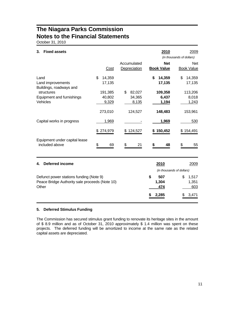October 31, 2010

| 3.<br><b>Fixed assets</b>                                                                          |                            |                                 | 2010                               | 2009<br>(in thousands of dollars)    |
|----------------------------------------------------------------------------------------------------|----------------------------|---------------------------------|------------------------------------|--------------------------------------|
|                                                                                                    | Cost                       | Accumulated<br>Depreciation     | <b>Net</b><br><b>Book Value</b>    | <b>Net</b><br><b>Book Value</b>      |
| Land<br>Land improvements<br>Buildings, roadways and                                               | \$<br>14,359<br>17,135     |                                 | \$<br>14,359<br>17,135             | \$<br>14,359<br>17,135               |
| structures<br><b>Equipment and furnishings</b><br>Vehicles                                         | 191,385<br>40,802<br>9,329 | \$<br>82,027<br>34,365<br>8,135 | 109,358<br>6,437<br>1,194          | 113,206<br>8,018<br>1,243            |
|                                                                                                    | 273,010                    | 124,527                         | 148,483                            | 153,961                              |
| Capital works in progress                                                                          | 1,969                      |                                 | 1,969                              | 530                                  |
|                                                                                                    | \$274,979                  | 124,527<br>S                    | 150,452                            | \$154,491                            |
| Equipment under capital lease<br>included above                                                    | \$<br>69                   | \$<br>21                        | \$<br>48                           | \$<br>55                             |
| <b>Deferred income</b><br>4.                                                                       |                            |                                 | 2010                               | 2009<br>(in thousands of dollars)    |
| Defunct power stations funding (Note 9)<br>Peace Bridge Authority sale proceeds (Note 10)<br>Other |                            |                                 | \$<br>507<br>1,304<br>474<br>2,285 | 1,517<br>\$<br>1,351<br>603<br>3,471 |

#### **5. Deferred Stimulus Funding**

The Commission has secured stimulus grant funding to renovate its heritage sites in the amount of \$ 8.9 million and as of October 31, 2010 approximately \$ 1.4 million was spent on these projects. The deferred funding will be amortized to income at the same rate as the related capital assets are depreciated.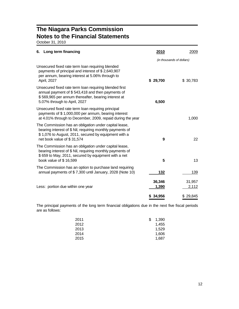October 31, 2010

| Long term financing<br>6.                                                                                                                                                                                | 2010                      | 2009            |
|----------------------------------------------------------------------------------------------------------------------------------------------------------------------------------------------------------|---------------------------|-----------------|
|                                                                                                                                                                                                          | (in thousands of dollars) |                 |
| Unsecured fixed rate term loan requiring blended<br>payments of principal and interest of \$2,640,907<br>per annum, bearing interest at 5.06% through to<br>April, 2027                                  | \$29,700                  | \$30,783        |
| Unsecured fixed rate term loan requiring blended first<br>annual payment of \$543,418 and then payments of<br>\$569,965 per annum thereafter, bearing interest at<br>5.07% through to April, 2027        | 6,500                     |                 |
| Unsecured fixed rate term loan requiring principal<br>payments of \$1,000,000 per annum, bearing interest<br>at 4.01% through to December, 2009, repaid during the year                                  |                           | 1,000           |
| The Commission has an obligation under capital lease,<br>bearing interest of \$ Nil, requiring monthly payments of<br>\$1,076 to August, 2011, secured by equipment with a<br>net book value of \$31,574 | 9                         | 22              |
| The Commission has an obligation under capital lease,<br>bearing interest of \$ Nil, requiring monthly payments of<br>\$659 to May, 2011, secured by equipment with a net<br>book value of \$16,599      | 5                         | 13              |
| The Commission has an option to purchase land requiring<br>annual payments of \$7,300 until January, 2028 (Note 10)                                                                                      | 132                       | 139             |
| Less: portion due within one year                                                                                                                                                                        | 36,346<br>1,390           | 31,957<br>2,112 |
|                                                                                                                                                                                                          | \$34,956                  | \$29,845        |

The principal payments of the long term financial obligations due in the next five fiscal periods are as follows:

| S | 1,390 |
|---|-------|
|   | 1,455 |
|   | 1,529 |
|   | 1,606 |
|   | 1.687 |
|   |       |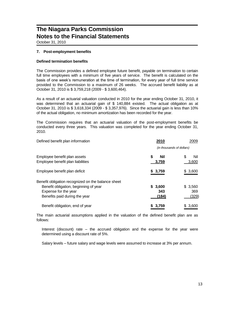October 31, 2010

#### **7. Post-employment benefits**

#### **Defined termination benefits**

The Commission provides a defined employee future benefit, payable on termination to certain full time employees with a minimum of five years of service. The benefit is calculated on the basis of one week's remuneration at the time of termination, for every year of full time service provided to the Commission to a maximum of 26 weeks. The accrued benefit liability as at October 31, 2010 is \$ 3,759,218 (2009 - \$ 3,600,464).

As a result of an actuarial valuation conducted in 2010 for the year ending October 31, 2010, it was determined that an actuarial gain of \$ 140,884 existed. The actual obligation as at October 31, 2010 is \$ 3,618,334 (2009 - \$ 3,357,976). Since the actuarial gain is less than 10% of the actual obligation, no minimum amortization has been recorded for the year.

The Commission requires that an actuarial valuation of the post-employment benefits be conducted every three years. This valuation was completed for the year ending October 31, 2010.

| Defined benefit plan information                                                                                                                     | 2010                        | 2009                     |
|------------------------------------------------------------------------------------------------------------------------------------------------------|-----------------------------|--------------------------|
|                                                                                                                                                      | (in thousands of dollars)   |                          |
| Employee benefit plan assets<br>Employee benefit plan liabilities                                                                                    | S<br>Nil<br>3,759           | \$<br>Nil<br>3,600       |
| Employee benefit plan deficit                                                                                                                        | \$3,759                     | \$3,600                  |
| Benefit obligation recognized on the balance sheet<br>Benefit obligation, beginning of year<br>Expense for the year<br>Benefits paid during the year | 3,600<br>S.<br>343<br>(184) | \$ 3.560<br>369<br>(329) |
| Benefit obligation, end of year                                                                                                                      | 3,759                       | \$3,600                  |

The main actuarial assumptions applied in the valuation of the defined benefit plan are as follows:

Interest (discount) rate – the accrued obligation and the expense for the year were determined using a discount rate of 5%.

Salary levels – future salary and wage levels were assumed to increase at 3% per annum.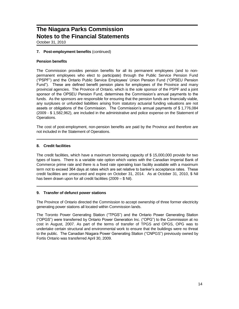October 31, 2010

#### **7. Post-employment benefits** (continued)

#### **Pension benefits**

The Commission provides pension benefits for all its permanent employees (and to nonpermanent employees who elect to participate) through the Public Service Pension Fund ("PSPF") and the Ontario Public Service Employees' Union Pension Fund ("OPSEU Pension Fund"). These are defined benefit pension plans for employees of the Province and many provincial agencies. The Province of Ontario, which is the sole sponsor of the PSPF and a joint sponsor of the OPSEU Pension Fund, determines the Commission's annual payments to the funds. As the sponsors are responsible for ensuring that the pension funds are financially viable, any surpluses or unfunded liabilities arising from statutory actuarial funding valuations are not assets or obligations of the Commission. The Commission's annual payments of \$ 1,776,084 (2009 - \$ 1,582,962), are included in the administrative and police expense on the Statement of Operations.

The cost of post-employment, non-pension benefits are paid by the Province and therefore are not included in the Statement of Operations.

#### **8. Credit facilities**

The credit facilities, which have a maximum borrowing capacity of \$ 15,000,000 provide for two types of loans. There is a variable rate option which varies with the Canadian Imperial Bank of Commerce prime rate and there is a fixed rate operating loan facility available with a maximum term not to exceed 364 days at rates which are set relative to banker's acceptance rates. These credit facilities are unsecured and expire on October 31, 2014. As at October 31, 2010, \$ Nil has been drawn upon for all credit facilities (2009 – \$ Nil).

#### **9. Transfer of defunct power stations**

The Province of Ontario directed the Commission to accept ownership of three former electricity generating power stations all located within Commission lands.

The Toronto Power Generating Station ("TPGS") and the Ontario Power Generating Station ("OPGS") were transferred by Ontario Power Generation Inc. ("OPG") to the Commission at no cost in August, 2007. As part of the terms of transfer of TPGS and OPGS, OPG was to undertake certain structural and environmental work to ensure that the buildings were no threat to the public. The Canadian Niagara Power Generating Station ("CNPGS") previously owned by Fortis Ontario was transferred April 30, 2009.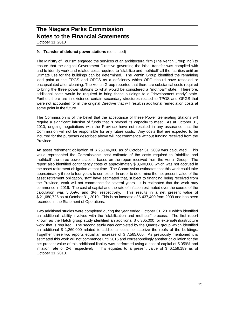October 31, 2010

#### **9. Transfer of defunct power stations** (continued)

The Ministry of Tourism engaged the services of an architectural firm (The Ventin Group Inc.) to ensure that the original Government Directive governing the initial transfer was complied with and to identify work and related costs required to "stabilize and mothball" all the facilities until an ultimate use for the buildings can be determined. The Ventin Group identified the remaining lead paint at the TPGS and OPGS as a deficiency which OPG should have resealed or encapsulated after cleaning. The Ventin Group reported that there are substantial costs required to bring the three power stations to what would be considered a "mothball" state. Therefore, additional costs would be required to bring these buildings to a "development ready" state. Further, there are in existence certain secondary structures related to TPGS and OPGS that were not accounted for in the original Directive that will result in additional remediation costs at some point in the future.

The Commission is of the belief that the acceptance of these Power Generating Stations will require a significant infusion of funds that is beyond its capacity to meet. As at October 31, 2010, ongoing negotiations with the Province have not resulted in any assurance that the Commission will not be responsible for any future costs. Any costs that are expected to be incurred for the purposes described above will not commence without funding received from the Province.

An asset retirement obligation of \$ 25,146,000 as of October 31, 2009 was calculated. This value represented the Commission's best estimate of the costs required to "stabilize and mothball" the three power stations based on the report received from the Ventin Group. The report also identified contingency costs of approximately \$ 3,600,000 which was not accrued in the asset retirement obligation at that time. The Commission estimates that this work could take approximately three to four years to complete. In order to determine the net present value of the asset retirement obligation, staff have estimated that, subject to financing being received from the Province, work will not commence for several years. It is estimated that the work may commence in 2016. The cost of capital and the rate of inflation estimated over the course of the calculation was 5.059% and 3%, respectively. This results in a net present value of \$ 21,680,725 as at October 31, 2010. This is an increase of \$ 437,400 from 2009 and has been recorded in the Statement of Operations.

Two additional studies were completed during the year ended October 31, 2010 which identified an additional liability involved with the "stabilization and mothball" process. The first report known as the Hatch group study identified an additional \$ 6,305,000 for external/infrastructure work that is required. The second study was completed by the Quartek group which identified an additional \$ 1,260,000 related to additional costs to stabilize the roofs of the buildings. Together these two reports equal an increase of \$ 7,565,000. As previously mentioned it is estimated this work will not commence until 2016 and correspondingly another calculation for the net present value of this additional liability was performed using a cost of capital of 5.059% and inflation rate of 2% respectively. This equates to a present value of \$ 6,159,189 as of October 31, 2010.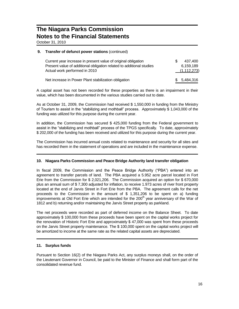October 31, 2010

#### **9. Transfer of defunct power stations** (continued)

| Current year increase in present value of original obligation<br>Present value of additional obligation related to additional studies<br>Actual work performed in 2010 | SS. | 437.400<br>6.159.189<br>(1,112,273) |
|------------------------------------------------------------------------------------------------------------------------------------------------------------------------|-----|-------------------------------------|
| Net increase in Power Plant stabilization obligation                                                                                                                   |     | \$ 5.484.316                        |

A capital asset has not been recorded for these properties as there is an impairment in their value, which has been documented in the various studies carried out to date.

As at October 31, 2009, the Commission had received \$ 1,550,000 in funding from the Ministry of Tourism to assist in the "stabilizing and mothball" process. Approximately \$ 1,043,000 of the funding was utilized for this purpose during the current year.

In addition, the Commission has secured \$ 425,000 funding from the Federal government to assist in the "stabilizing and mothball" process of the TPGS specifically. To date, approximately \$ 202,000 of the funding has been received and utilized for this purpose during the current year.

The Commission has incurred annual costs related to maintenance and security for all sites and has recorded them in the statement of operations and are included in the maintenance expense.

#### **10. Niagara Parks Commission and Peace Bridge Authority land transfer obligation**

In fiscal 2009, the Commission and the Peace Bridge Authority ("PBA") entered into an agreement to transfer parcels of land. The PBA acquired a 5.952 acre parcel located in Fort Erie from the Commission for \$ 2,021,206. The Commission acquired an option for \$ 670,000 plus an annual sum of \$ 7,300 adjusted for inflation, to receive 1.973 acres of river front property located at the end of Jarvis Street in Fort Erie from the PBA. The agreement calls for the net proceeds to the Commission in the amount of \$ 1,351,206 to be spent on a) funding improvements at Old Fort Erie which are intended for the  $200<sup>th</sup>$  year anniversary of the War of 1812 and b) returning and/or maintaining the Jarvis Street property as parkland.

The net proceeds were recorded as part of deferred income on the Balance Sheet. To date approximately \$ 100,000 from these proceeds have been spent on the capital works project for the renovation of Historic Fort Erie and approximately \$ 47,000 was spent from these proceeds on the Jarvis Street property maintenance. The \$ 100,000 spent on the capital works project will be amortized to income at the same rate as the related capital assets are depreciated.

#### **11. Surplus funds**

Pursuant to Section 16(2) of the Niagara Parks Act, any surplus moneys shall, on the order of the Lieutenant Governor in Council, be paid to the Minister of Finance and shall form part of the consolidated revenue fund.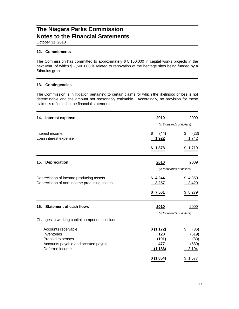October 31, 2010

#### **12. Commitments**

The Commission has committed to approximately \$ 8,150,000 in capital works projects in the next year, of which \$ 7,500,000 is related to renovation of the heritage sites being funded by a Stimulus grant.

#### **13. Contingencies**

The Commission is in litigation pertaining to certain claims for which the likelihood of loss is not determinable and the amount not reasonably estimable. Accordingly, no provision for these claims is reflected in the financial statements.

| Interest expense<br>14.                                                                                           | 2010                                         | 2009<br>(in thousands of dollars)             |
|-------------------------------------------------------------------------------------------------------------------|----------------------------------------------|-----------------------------------------------|
| Interest income<br>Loan interest expense                                                                          | \$<br>(44)<br>1,922                          | \$<br>(23)<br>1,742                           |
|                                                                                                                   | \$1,878                                      | \$1,719                                       |
| <b>Depreciation</b><br>15.                                                                                        | 2010                                         | 2009<br>(in thousands of dollars)             |
| Depreciation of income producing assets<br>Depreciation of non-income producing assets                            | \$4,244<br>3,257                             | \$4,850<br>3,429                              |
|                                                                                                                   | \$7,501                                      | \$8,279                                       |
| <b>Statement of cash flows</b><br>16.                                                                             | 2010                                         | 2009<br>(in thousands of dollars)             |
| Changes in working capital components include:                                                                    |                                              |                                               |
| Accounts receivable<br>Inventories<br>Prepaid expenses<br>Accounts payable and accrued payroll<br>Deferred income | \$(1,172)<br>128<br>(101)<br>477<br>(1, 186) | \$<br>(36)<br>(619)<br>(83)<br>(689)<br>3,104 |
|                                                                                                                   | \$ (1,854)                                   | \$1,677                                       |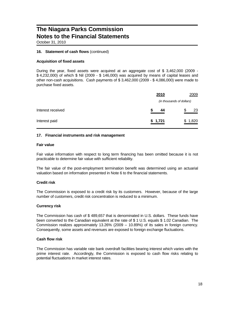October 31, 2010

#### **16. Statement of cash flows** (continued)

#### **Acquisition of fixed assets**

During the year, fixed assets were acquired at an aggregate cost of \$ 3,462,000 (2009 - \$ 4,232,000) of which \$ Nil (2009 - \$ 146,000) was acquired by means of capital leases and other non-cash acquisitions. Cash payments of \$ 3,462,000 (2009 - \$ 4,086,000) were made to purchase fixed assets.

|                   | 2010    | 2009                      |
|-------------------|---------|---------------------------|
|                   |         | (in thousands of dollars) |
| Interest received | 44<br>S | 23<br>S                   |
| Interest paid     | \$1,721 | 1,820<br>\$               |

#### **17. Financial instruments and risk management**

#### **Fair value**

Fair value information with respect to long term financing has been omitted because it is not practicable to determine fair value with sufficient reliability.

The fair value of the post-employment termination benefit was determined using an actuarial valuation based on information presented in Note 6 to the financial statements.

#### **Credit risk**

The Commission is exposed to a credit risk by its customers. However, because of the large number of customers, credit risk concentration is reduced to a minimum.

#### **Currency risk**

The Commission has cash of \$ 489,657 that is denominated in U.S. dollars. These funds have been converted to the Canadian equivalent at the rate of \$ 1 U.S. equals \$ 1.02 Canadian. The Commission realizes approximately 13.26% (2009 – 10.89%) of its sales in foreign currency. Consequently, some assets and revenues are exposed to foreign exchange fluctuations.

#### **Cash flow risk**

The Commission has variable rate bank overdraft facilities bearing interest which varies with the prime interest rate. Accordingly, the Commission is exposed to cash flow risks relating to potential fluctuations in market interest rates.